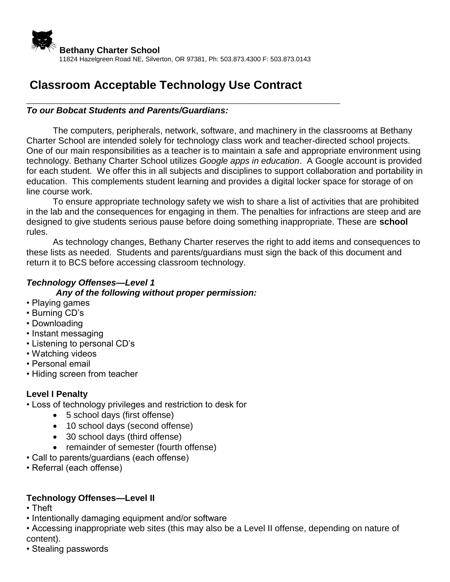

# **Classroom Acceptable Technology Use Contract**

**\_\_\_\_\_\_\_\_\_\_\_\_\_\_\_\_\_\_\_\_\_\_\_\_\_\_\_\_\_\_\_\_\_\_\_\_\_\_\_\_\_\_\_\_\_\_\_\_**

### *To our Bobcat Students and Parents/Guardians:*

The computers, peripherals, network, software, and machinery in the classrooms at Bethany Charter School are intended solely for technology class work and teacher-directed school projects. One of our main responsibilities as a teacher is to maintain a safe and appropriate environment using technology. Bethany Charter School utilizes *Google apps in education*. A Google account is provided for each student. We offer this in all subjects and disciplines to support collaboration and portability in education. This complements student learning and provides a digital locker space for storage of on line course work.

To ensure appropriate technology safety we wish to share a list of activities that are prohibited in the lab and the consequences for engaging in them. The penalties for infractions are steep and are designed to give students serious pause before doing something inappropriate. These are **school**  rules.

As technology changes, Bethany Charter reserves the right to add items and consequences to these lists as needed. Students and parents/guardians must sign the back of this document and return it to BCS before accessing classroom technology.

# *Technology Offenses—Level 1*

#### *Any of the following without proper permission:*

- Playing games
- Burning CD's
- Downloading
- Instant messaging
- Listening to personal CD's
- Watching videos
- Personal email
- Hiding screen from teacher

### **Level I Penalty**

- Loss of technology privileges and restriction to desk for
	- 5 school days (first offense)
	- 10 school days (second offense)
	- 30 school days (third offense)
	- remainder of semester (fourth offense)
- Call to parents/guardians (each offense)
- Referral (each offense)

### **Technology Offenses—Level II**

- Theft
- Intentionally damaging equipment and/or software
- Accessing inappropriate web sites (this may also be a Level II offense, depending on nature of content).
- Stealing passwords